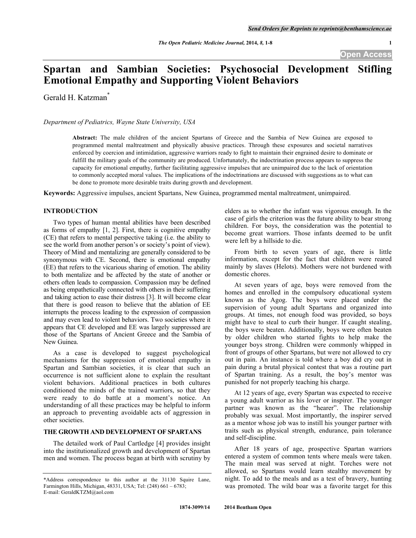# **Spartan and Sambian Societies: Psychosocial Development Stifling Emotional Empathy and Supporting Violent Behaviors**

Gerald H. Katzman<sup>\*</sup>

*Department of Pediatrics, Wayne State University, USA*

**Abstract:** The male children of the ancient Spartans of Greece and the Sambia of New Guinea are exposed to programmed mental maltreatment and physically abusive practices. Through these exposures and societal narratives enforced by coercion and intimidation, aggressive warriors ready to fight to maintain their engrained desire to dominate or fulfill the military goals of the community are produced. Unfortunately, the indoctrination process appears to suppress the capacity for emotional empathy, further facilitating aggressive impulses that are unimpaired due to the lack of orientation to commonly accepted moral values. The implications of the indoctrinations are discussed with suggestions as to what can be done to promote more desirable traits during growth and development.

**Keywords:** Aggressive impulses, ancient Spartans, New Guinea, programmed mental maltreatment, unimpaired.

# **INTRODUCTION**

Two types of human mental abilities have been described as forms of empathy [1, 2]. First, there is cognitive empathy (CE) that refers to mental perspective taking (i.e. the ability to see the world from another person's or society's point of view). Theory of Mind and mentalizing are generally considered to be synonymous with CE. Second, there is emotional empathy (EE) that refers to the vicarious sharing of emotion. The ability to both mentalize and be affected by the state of another or others often leads to compassion. Compassion may be defined as being empathetically connected with others in their suffering and taking action to ease their distress [3]. It will become clear that there is good reason to believe that the ablation of EE interrupts the process leading to the expression of compassion and may even lead to violent behaviors. Two societies where it appears that CE developed and EE was largely suppressed are those of the Spartans of Ancient Greece and the Sambia of New Guinea.

As a case is developed to suggest psychological mechanisms for the suppression of emotional empathy in Spartan and Sambian societies, it is clear that such an occurrence is not sufficient alone to explain the resultant violent behaviors. Additional practices in both cultures conditioned the minds of the trained warriors, so that they were ready to do battle at a moment's notice. An understanding of all these practices may be helpful to inform an approach to preventing avoidable acts of aggression in other societies.

#### **THE GROWTH AND DEVELOPMENT OF SPARTANS**

The detailed work of Paul Cartledge [4] provides insight into the institutionalized growth and development of Spartan men and women. The process began at birth with scrutiny by elders as to whether the infant was vigorous enough. In the case of girls the criterion was the future ability to bear strong children. For boys, the consideration was the potential to become great warriors. Those infants deemed to be unfit were left by a hillside to die.

From birth to seven years of age, there is little information, except for the fact that children were reared mainly by slaves (Helots). Mothers were not burdened with domestic chores.

At seven years of age, boys were removed from the homes and enrolled in the compulsory educational system known as the Agog. The boys were placed under the supervision of young adult Spartans and organized into groups. At times, not enough food was provided, so boys might have to steal to curb their hunger. If caught stealing, the boys were beaten. Additionally, boys were often beaten by older children who started fights to help make the younger boys strong. Children were commonly whipped in front of groups of other Spartans, but were not allowed to cry out in pain. An instance is told where a boy did cry out in pain during a brutal physical contest that was a routine part of Spartan training. As a result, the boy's mentor was punished for not properly teaching his charge.

At 12 years of age, every Spartan was expected to receive a young adult warrior as his lover or inspirer. The younger partner was known as the "hearer". The relationship probably was sexual. Most importantly, the inspirer served as a mentor whose job was to instill his younger partner with traits such as physical strength, endurance, pain tolerance and self-discipline.

After 18 years of age, prospective Spartan warriors entered a system of common tents where meals were taken. The main meal was served at night. Torches were not allowed, so Spartans would learn stealthy movement by night. To add to the meals and as a test of bravery, hunting was promoted. The wild boar was a favorite target for this

<sup>\*</sup>Address correspondence to this author at the 31130 Squire Lane, Farmington Hills, Michigan, 48331, USA; Tel: (248) 661 – 6783; E-mail: GeraldKTZM@aol.com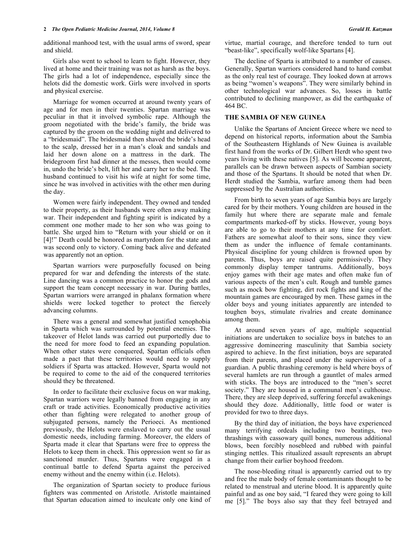additional manhood test, with the usual arms of sword, spear and shield.

Girls also went to school to learn to fight. However, they lived at home and their training was not as harsh as the boys. The girls had a lot of independence, especially since the helots did the domestic work. Girls were involved in sports and physical exercise.

Marriage for women occurred at around twenty years of age and for men in their twenties. Spartan marriage was peculiar in that it involved symbolic rape. Although the groom negotiated with the bride's family, the bride was captured by the groom on the wedding night and delivered to a "bridesmaid". The bridesmaid then shaved the bride's head to the scalp, dressed her in a man's cloak and sandals and laid her down alone on a mattress in the dark. The bridegroom first had dinner at the messes, then would come in, undo the bride's belt, lift her and carry her to the bed. The husband continued to visit his wife at night for some time, since he was involved in activities with the other men during the day.

Women were fairly independent. They owned and tended to their property, as their husbands were often away making war. Their independent and fighting spirit is indicated by a comment one mother made to her son who was going to battle. She urged him to "Return with your shield or on it [4]!" Death could be honored as martyrdom for the state and was second only to victory. Coming back alive and defeated was apparently not an option.

Spartan warriors were purposefully focused on being prepared for war and defending the interests of the state. Line dancing was a common practice to honor the gods and support the team concept necessary in war. During battles, Spartan warriors were arranged in phalanx formation where shields were locked together to protect the fiercely advancing columns.

There was a general and somewhat justified xenophobia in Sparta which was surrounded by potential enemies. The takeover of Helot lands was carried out purportedly due to the need for more food to feed an expanding population. When other states were conquered, Spartan officials often made a pact that these territories would need to supply soldiers if Sparta was attacked. However, Sparta would not be required to come to the aid of the conquered territories should they be threatened.

In order to facilitate their exclusive focus on war making, Spartan warriors were legally banned from engaging in any craft or trade activities. Economically productive activities other than fighting were relegated to another group of subjugated persons, namely the Perioeci. As mentioned previously, the Helots were enslaved to carry out the usual domestic needs, including farming. Moreover, the elders of Sparta made it clear that Spartans were free to oppress the Helots to keep them in check. This oppression went so far as sanctioned murder. Thus, Spartans were engaged in a continual battle to defend Sparta against the perceived enemy without and the enemy within (i.e. Helots).

The organization of Spartan society to produce furious fighters was commented on Aristotle. Aristotle maintained that Spartan education aimed to inculcate only one kind of virtue, martial courage, and therefore tended to turn out "beast-like", specifically wolf-like Spartans [4].

The decline of Sparta is attributed to a number of causes. Generally, Spartan warriors considered hand to hand combat as the only real test of courage. They looked down at arrows as being "women's weapons". They were similarly behind in other technological war advances. So, losses in battle contributed to declining manpower, as did the earthquake of 464 BC.

### **THE SAMBIA OF NEW GUINEA**

Unlike the Spartans of Ancient Greece where we need to depend on historical reports, information about the Sambia of the Southeastern Highlands of New Guinea is available first hand from the works of Dr. Gilbert Herdt who spent two years living with these natives [5]. As will become apparent, parallels can be drawn between aspects of Sambian society and those of the Spartans. It should be noted that when Dr. Herdt studied the Sambia, warfare among them had been suppressed by the Australian authorities.

From birth to seven years of age Sambia boys are largely cared for by their mothers. Young children are housed in the family hut where there are separate male and female compartments marked-off by sticks. However, young boys are able to go to their mothers at any time for comfort. Fathers are somewhat aloof to their sons, since they view them as under the influence of female contaminants. Physical discipline for young children is frowned upon by parents. Thus, boys are raised quite permissively. They commonly display temper tantrums. Additionally, boys enjoy games with their age mates and often make fun of various aspects of the men's cult. Rough and tumble games such as mock bow fighting, dirt rock fights and king of the mountain games are encouraged by men. These games in the older boys and young initiates apparently are intended to toughen boys, stimulate rivalries and create dominance among them.

At around seven years of age, multiple sequential initiations are undertaken to socialize boys in batches to an aggressive domineering masculinity that Sambia society aspired to achieve. In the first initiation, boys are separated from their parents, and placed under the supervision of a guardian. A public thrashing ceremony is held where boys of several hamlets are run through a gauntlet of males armed with sticks. The boys are introduced to the "men's secret society." They are housed in a communal men's culthouse. There, they are sleep deprived, suffering forceful awakenings should they doze. Additionally, little food or water is provided for two to three days.

By the third day of initiation, the boys have experienced many terrifying ordeals including two beatings, two thrashings with cassowary quill bones, numerous additional blows, been forcibly nosebleed and rubbed with painful stinging nettles. This ritualized assault represents an abrupt change from their earlier boyhood freedom.

The nose-bleeding ritual is apparently carried out to try and free the male body of female contaminants thought to be related to menstrual and uterine blood. It is apparently quite painful and as one boy said, "I feared they were going to kill me [5]." The boys also say that they feel betrayed and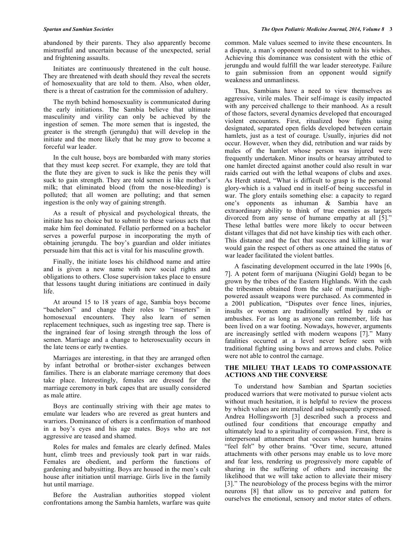abandoned by their parents. They also apparently become mistrustful and uncertain because of the unexpected, serial and frightening assaults.

Initiates are continuously threatened in the cult house. They are threatened with death should they reveal the secrets of homosexuality that are told to them. Also, when older, there is a threat of castration for the commission of adultery.

The myth behind homosexuality is communicated during the early initiations. The Sambia believe that ultimate masculinity and virility can only be achieved by the ingestion of semen. The more semen that is ingested, the greater is the strength (jerungdu) that will develop in the initiate and the more likely that he may grow to become a forceful war leader.

In the cult house, boys are bombarded with many stories that they must keep secret. For example, they are told that the flute they are given to suck is like the penis they will suck to gain strength. They are told semen is like mother's milk; that eliminated blood (from the nose-bleeding) is polluted; that all women are polluting; and that semen ingestion is the only way of gaining strength.

As a result of physical and psychological threats, the initiate has no choice but to submit to these various acts that make him feel dominated. Fellatio performed on a bachelor serves a powerful purpose in incorporating the myth of obtaining jerungdu. The boy's guardian and older initiates persuade him that this act is vital for his masculine growth.

Finally, the initiate loses his childhood name and attire and is given a new name with new social rights and obligations to others. Close supervision takes place to ensure that lessons taught during initiations are continued in daily life.

At around 15 to 18 years of age, Sambia boys become "bachelors" and change their roles to "inserters" in homosexual encounters. They also learn of semen replacement techniques, such as ingesting tree sap. There is the ingrained fear of losing strength through the loss of semen. Marriage and a change to heterosexuality occurs in the late teens or early twenties.

Marriages are interesting, in that they are arranged often by infant betrothal or brother-sister exchanges between families. There is an elaborate marriage ceremony that does take place. Interestingly, females are dressed for the marriage ceremony in bark capes that are usually considered as male attire.

Boys are continually striving with their age mates to emulate war leaders who are revered as great hunters and warriors. Dominance of others is a confirmation of manhood in a boy's eyes and his age mates. Boys who are not aggressive are teased and shamed.

Roles for males and females are clearly defined. Males hunt, climb trees and previously took part in war raids. Females are obedient, and perform the functions of gardening and babysitting. Boys are housed in the men's cult house after initiation until marriage. Girls live in the family hut until marriage.

Before the Australian authorities stopped violent confrontations among the Sambia hamlets, warfare was quite

common. Male values seemed to invite these encounters. In a dispute, a man's opponent needed to submit to his wishes. Achieving this dominance was consistent with the ethic of jerungdu and would fulfill the war leader stereotype. Failure to gain submission from an opponent would signify weakness and unmanliness.

Thus, Sambians have a need to view themselves as aggressive, virile males. Their self-image is easily impacted with any perceived challenge to their manhood. As a result of those factors, several dynamics developed that encouraged violent encounters. First, ritualized bow fights using designated, separated open fields developed between certain hamlets, just as a test of courage. Usually, injuries did not occur. However, when they did, retribution and war raids by males of the hamlet whose person was injured were frequently undertaken. Minor insults or hearsay attributed to one hamlet directed against another could also result in war raids carried out with the lethal weapons of clubs and axes. As Herdt stated, "What is difficult to grasp is the personal glory-which is a valued end in itself-of being successful in war. The glory entails something else: a capacity to regard one's opponents as inhuman & Sambia have an extraordinary ability to think of true enemies as targets divorced from any sense of humane empathy at all [5]." These lethal battles were more likely to occur between distant villages that did not have kinship ties with each other. This distance and the fact that success and killing in war would gain the respect of others as one attained the status of war leader facilitated the violent battles.

A fascinating development occurred in the late 1990s [6, 7]. A potent form of marijuana (Niugini Gold) began to be grown by the tribes of the Eastern Highlands. With the cash the tribesmen obtained from the sale of marijuana, highpowered assault weapons were purchased. As commented in a 2001 publication, "Disputes over fence lines, injuries, insults or women are traditionally settled by raids or ambushes. For as long as anyone can remember, life has been lived on a war footing. Nowadays, however, arguments are increasingly settled with modern weapons [7]." Many fatalities occurred at a level never before seen with traditional fighting using bows and arrows and clubs. Police were not able to control the carnage.

### **THE MILIEU THAT LEADS TO COMPASSIONATE ACTIONS AND THE CONVERSE**

To understand how Sambian and Spartan societies produced warriors that were motivated to pursue violent acts without much hesitation, it is helpful to review the process by which values are internalized and subsequently expressed. Andrea Hollingsworth [3] described such a process and outlined four conditions that encourage empathy and ultimately lead to a spirituality of compassion. First, there is interpersonal attunement that occurs when human brains "feel felt" by other brains. "Over time, secure, attuned attachments with other persons may enable us to love more and fear less, rendering us progressively more capable of sharing in the suffering of others and increasing the likelihood that we will take action to alleviate their misery [3]." The neurobiology of the process begins with the mirror neurons [8] that allow us to perceive and pattern for ourselves the emotional, sensory and motor states of others.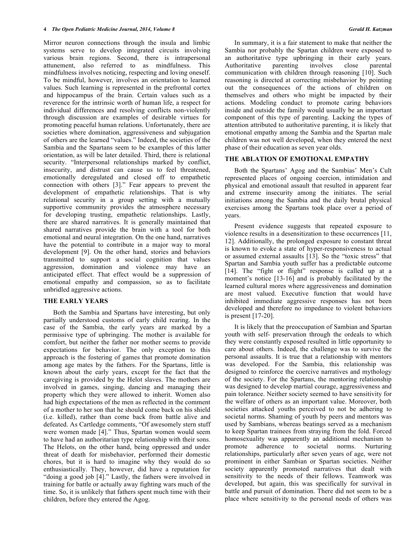Mirror neuron connections through the insula and limbic systems serve to develop integrated circuits involving various brain regions. Second, there is intrapersonal attunement, also referred to as mindfulness. This mindfulness involves noticing, respecting and loving oneself. To be mindful, however, involves an orientation to learned values. Such learning is represented in the prefrontal cortex and hippocampus of the brain. Certain values such as a reverence for the intrinsic worth of human life, a respect for individual differences and resolving conflicts non-violently through discussion are examples of desirable virtues for promoting peaceful human relations. Unfortunately, there are societies where domination, aggressiveness and subjugation of others are the learned "values." Indeed, the societies of the Sambia and the Spartans seem to be examples of this latter orientation, as will be later detailed. Third, there is relational security. "Interpersonal relationships marked by conflict, insecurity, and distrust can cause us to feel threatened, emotionally deregulated and closed off to empathetic connection with others [3]." Fear appears to prevent the development of empathetic relationships. That is why relational security in a group setting with a mutually supportive community provides the atmosphere necessary for developing trusting, empathetic relationships. Lastly, there are shared narratives. It is generally maintained that shared narratives provide the brain with a tool for both emotional and neural integration. On the one hand, narratives have the potential to contribute in a major way to moral development [9]. On the other hand, stories and behaviors transmitted to support a social cognition that values aggression, domination and violence may have an anticipated effect. That effect would be a suppression of emotional empathy and compassion, so as to facilitate unbridled aggressive actions.

#### **THE EARLY YEARS**

Both the Sambia and Spartans have interesting, but only partially understood customs of early child rearing. In the case of the Sambia, the early years are marked by a permissive type of upbringing. The mother is available for comfort, but neither the father nor mother seems to provide expectations for behavior. The only exception to this approach is the fostering of games that promote domination among age mates by the fathers. For the Spartans, little is known about the early years, except for the fact that the caregiving is provided by the Helot slaves. The mothers are involved in games, singing, dancing and managing their property which they were allowed to inherit. Women also had high expectations of the men as reflected in the comment of a mother to her son that he should come back on his shield (i.e. killed), rather than come back from battle alive and defeated. As Cartledge comments, "Of awesomely stern stuff were women made [4]." Thus, Spartan women would seem to have had an authoritarian type relationship with their sons. The Helots, on the other hand, being oppressed and under threat of death for misbehavior, performed their domestic chores, but it is hard to imagine why they would do so enthusiastically. They, however, did have a reputation for "doing a good job [4]." Lastly, the fathers were involved in training for battle or actually away fighting wars much of the time. So, it is unlikely that fathers spent much time with their children, before they entered the Agog.

In summary, it is a fair statement to make that neither the Sambia nor probably the Spartan children were exposed to an authoritative type upbringing in their early years.<br>Authoritative parenting involves close parental Authoritative parenting involves close parental communication with children through reasoning [10]. Such reasoning is directed at correcting misbehavior by pointing out the consequences of the actions of children on themselves and others who might be impacted by their actions. Modeling conduct to promote caring behaviors inside and outside the family would usually be an important component of this type of parenting. Lacking the types of attention attributed to authoritative parenting, it is likely that emotional empathy among the Sambia and the Spartan male children was not well developed, when they entered the next phase of their education as seven year olds.

#### **THE ABLATION OF EMOTIONAL EMPATHY**

Both the Spartans' Agog and the Sambias' Men's Cult represented places of ongoing coercion, intimidation and physical and emotional assault that resulted in apparent fear and extreme insecurity among the initiates. The serial initiations among the Sambia and the daily brutal physical exercises among the Spartans took place over a period of years.

Present evidence suggests that repeated exposure to violence results in a desensitization to these occurrences [11, 12]. Additionally, the prolonged exposure to constant threat is known to evoke a state of hyper-responsiveness to actual or assumed external assaults [13]. So the "toxic stress" that Spartan and Sambia youth suffer has a predictable outcome [14]. The "fight or flight" response is called up at a moment's notice [13-16] and is probably facilitated by the learned cultural mores where aggressiveness and domination are most valued. Executive function that would have inhibited immediate aggressive responses has not been developed and therefore no impedance to violent behaviors is present [17-20].

It is likely that the preoccupation of Sambian and Spartan youth with self- preservation through the ordeals to which they were constantly exposed resulted in little opportunity to care about others. Indeed, the challenge was to survive the personal assaults. It is true that a relationship with mentors was developed. For the Sambia, this relationship was designed to reinforce the coercive narratives and mythology of the society. For the Spartans, the mentoring relationship was designed to develop martial courage, aggressiveness and pain tolerance. Neither society seemed to have sensitivity for the welfare of others as an important value. Moreover, both societies attacked youths perceived to not be adhering to societal norms. Shaming of youth by peers and mentors was used by Sambians, whereas beatings served as a mechanism to keep Spartan trainees from straying from the fold. Forced homosexuality was apparently an additional mechanism to promote adherence to societal norms. Nurturing relationships, particularly after seven years of age, were not prominent in either Sambian or Spartan societies. Neither society apparently promoted narratives that dealt with sensitivity to the needs of their fellows. Teamwork was developed, but again, this was specifically for survival in battle and pursuit of domination. There did not seem to be a place where sensitivity to the personal needs of others was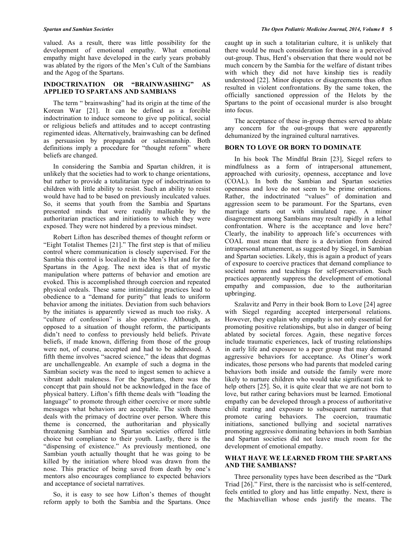valued. As a result, there was little possibility for the development of emotional empathy. What emotional empathy might have developed in the early years probably was ablated by the rigors of the Men's Cult of the Sambians and the Agog of the Spartans.

### **INDOCTRINATION OR "BRAINWASHING" AS APPLIED TO SPARTANS AND SAMBIANS**

The term " brainwashing" had its origin at the time of the Korean War [21]. It can be defined as a forcible indoctrination to induce someone to give up political, social or religious beliefs and attitudes and to accept contrasting regimented ideas. Alternatively, brainwashing can be defined as persuasion by propaganda or salesmanship. Both definitions imply a procedure for "thought reform" where beliefs are changed.

In considering the Sambia and Spartan children, it is unlikely that the societies had to work to change orientations, but rather to provide a totalitarian type of indoctrination to children with little ability to resist. Such an ability to resist would have had to be based on previously inculcated values. So, it seems that youth from the Sambia and Spartans presented minds that were readily malleable by the authoritarian practices and initiations to which they were exposed. They were not hindered by a previous mindset.

Robert Lifton has described themes of thought reform or "Eight Totalist Themes [21]." The first step is that of milieu control where communication is closely supervised. For the Sambia this control is localized in the Men's Hut and for the Spartans in the Agog. The next idea is that of mystic manipulation where patterns of behavior and emotion are evoked. This is accomplished through coercion and repeated physical ordeals. These same intimidating practices lead to obedience to a "demand for purity" that leads to uniform behavior among the initiates. Deviation from such behaviors by the initiates is apparently viewed as much too risky. A "culture of confession" is also operative. Although, as opposed to a situation of thought reform, the participants didn't need to confess to previously held beliefs. Private beliefs, if made known, differing from those of the group were not, of course, accepted and had to be addressed. A fifth theme involves "sacred science," the ideas that dogmas are unchallengeable. An example of such a dogma in the Sambian society was the need to ingest semen to achieve a vibrant adult maleness. For the Spartans, there was the concept that pain should not be acknowledged in the face of physical battery. Lifton's fifth theme deals with "loading the language" to promote through either coercive or more subtle messages what behaviors are acceptable. The sixth theme deals with the primacy of doctrine over person. Where this theme is concerned, the authoritarian and physically threatening Sambian and Spartan societies offered little choice but compliance to their youth. Lastly, there is the "dispensing of existence." As previously mentioned, one Sambian youth actually thought that he was going to be killed by the initiation where blood was drawn from the nose. This practice of being saved from death by one's mentors also encourages compliance to expected behaviors and acceptance of societal narratives.

So, it is easy to see how Lifton's themes of thought reform apply to both the Sambia and the Spartans. Once

caught up in such a totalitarian culture, it is unlikely that there would be much consideration for those in a perceived out-group. Thus, Herd's observation that there would not be much concern by the Sambia for the welfare of distant tribes with which they did not have kinship ties is readily understood [22]. Minor disputes or disagreements thus often resulted in violent confrontations. By the same token, the officially sanctioned oppression of the Helots by the Spartans to the point of occasional murder is also brought into focus.

The acceptance of these in-group themes served to ablate any concern for the out-groups that were apparently dehumanized by the ingrained cultural narratives.

## **BORN TO LOVE OR BORN TO DOMINATE**

In his book The Mindful Brain [23], Siegel refers to mindfulness as a form of intrapersonal attunement, approached with curiosity, openness, acceptance and love (COAL). In both the Sambian and Spartan societies openness and love do not seem to be prime orientations. Rather, the indoctrinated "values" of domination and aggression seem to be paramount. For the Spartans, even marriage starts out with simulated rape. A minor disagreement among Sambians may result rapidly in a lethal confrontation. Where is the acceptance and love here? Clearly, the inability to approach life's occurrences with COAL must mean that there is a deviation from desired intrapersonal attunement, as suggested by Siegel, in Sambian and Spartan societies. Likely, this is again a product of years of exposure to coercive practices that demand compliance to societal norms and teachings for self-preservation. Such practices apparently suppress the development of emotional empathy and compassion, due to the authoritarian upbringing.

Szalavitz and Perry in their book Born to Love [24] agree with Siegel regarding accepted interpersonal relations. However, they explain why empathy is not only essential for promoting positive relationships, but also in danger of being ablated by societal forces. Again, these negative forces include traumatic experiences, lack of trusting relationships in early life and exposure to a peer group that may demand aggressive behaviors for acceptance. As Oliner's work indicates, those persons who had parents that modeled caring behaviors both inside and outside the family were more likely to nurture children who would take significant risk to help others [25]. So, it is quite clear that we are not born to love, but rather caring behaviors must be learned. Emotional empathy can be developed through a process of authoritative child rearing and exposure to subsequent narratives that promote caring behaviors. The coercion, traumatic initiations, sanctioned bullying and societal narratives promoting aggressive dominating behaviors in both Sambian and Spartan societies did not leave much room for the development of emotional empathy.

# **WHAT HAVE WE LEARNED FROM THE SPARTANS AND THE SAMBIANS?**

Three personality types have been described as the "Dark Triad [26]." First, there is the narcissist who is self-centered, feels entitled to glory and has little empathy. Next, there is the Machiavellian whose ends justify the means. The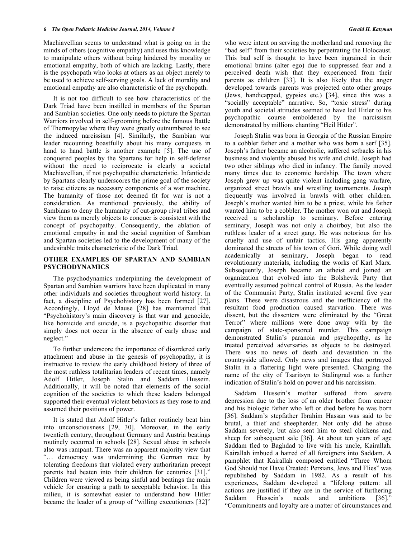Machiavellian seems to understand what is going on in the minds of others (cognitive empathy) and uses this knowledge to manipulate others without being hindered by morality or emotional empathy, both of which are lacking. Lastly, there is the psychopath who looks at others as an object merely to be used to achieve self-serving goals. A lack of morality and emotional empathy are also characteristic of the psychopath.

It is not too difficult to see how characteristics of the Dark Triad have been instilled in members of the Spartan and Sambian societies. One only needs to picture the Spartan Warriors involved in self-grooming before the famous Battle of Thermopylae where they were greatly outnumbered to see the induced narcissism [4]. Similarly, the Sambian war leader recounting boastfully about his many conquests in hand to hand battle is another example [5]. The use of conquered peoples by the Spartans for help in self-defense without the need to reciprocate is clearly a societal Machiavellian, if not psychopathic characteristic. Infanticide by Spartans clearly underscores the prime goal of the society to raise citizens as necessary components of a war machine. The humanity of those not deemed fit for war is not a consideration. As mentioned previously, the ability of Sambians to deny the humanity of out-group rival tribes and view them as merely objects to conquer is consistent with the concept of psychopathy. Consequently, the ablation of emotional empathy in and the social cognition of Sambian and Spartan societies led to the development of many of the undesirable traits characteristic of the Dark Triad.

## **OTHER EXAMPLES OF SPARTAN AND SAMBIAN PSYCHODYNAMICS**

The psychodynamics underpinning the development of Spartan and Sambian warriors have been duplicated in many other individuals and societies throughout world history. In fact, a discipline of Psychohistory has been formed [27]. Accordingly, Lloyd de Mause [28] has maintained that "Psychohistory's main discovery is that war and genocide, like homicide and suicide, is a psychopathic disorder that simply does not occur in the absence of early abuse and neglect."

To further underscore the importance of disordered early attachment and abuse in the genesis of psychopathy, it is instructive to review the early childhood history of three of the most ruthless totalitarian leaders of recent times, namely Adolf Hitler, Joseph Stalin and Saddam Hussein. Additionally, it will be noted that elements of the social cognition of the societies to which these leaders belonged supported their eventual violent behaviors as they rose to and assumed their positions of power.

It is stated that Adolf Hitler's father routinely beat him into unconsciousness [29, 30]. Moreover, in the early twentieth century, throughout Germany and Austria beatings routinely occurred in schools [28]. Sexual abuse in schools also was rampant. There was an apparent majority view that "… democracy was undermining the German race by tolerating freedoms that violated every authoritarian precept parents had beaten into their children for centuries [31]." Children were viewed as being sinful and beatings the main vehicle for ensuring a path to acceptable behavior. In this milieu, it is somewhat easier to understand how Hitler became the leader of a group of "willing executioners [32]"

who were intent on serving the motherland and removing the "bad self" from their societies by perpetrating the Holocaust. This bad self is thought to have been ingrained in their emotional brains (alter ego) due to suppressed fear and a perceived death wish that they experienced from their parents as children [33]. It is also likely that the anger developed towards parents was projected onto other groups (Jews, handicapped, gypsies etc.) [34], since this was a "socially acceptable" narrative. So, "toxic stress" during youth and societal attitudes seemed to have led Hitler to his psychopathic course emboldened by the narcissism demonstrated by millions chanting "Heil Hitler".

Joseph Stalin was born in Georgia of the Russian Empire to a cobbler father and a mother who was born a serf [35]. Joseph's father became an alcoholic, suffered setbacks in his business and violently abused his wife and child. Joseph had two other siblings who died in infancy. The family moved many times due to economic hardship. The town where Joseph grew up was quite violent including gang warfare, organized street brawls and wrestling tournaments. Joseph frequently was involved in brawls with other children. Joseph's mother wanted him to be a priest, while his father wanted him to be a cobbler. The mother won out and Joseph received a scholarship to seminary. Before entering seminary, Joseph was not only a choirboy, but also the ruthless leader of a street gang. He was notorious for his cruelty and use of unfair tactics. His gang apparently dominated the streets of his town of Gori. While doing well academically at seminary, Joseph began to read revolutionary materials, including the works of Karl Marx. Subsequently, Joseph became an atheist and joined an organization that evolved into the Bolshevik Party that eventually assumed political control of Russia. As the leader of the Communist Party, Stalin instituted several five year plans. These were disastrous and the inefficiency of the resultant food production caused starvation. There was dissent, but the dissenters were eliminated by the "Great Terror" where millions were done away with by the campaign of state-sponsored murder. This campaign demonstrated Stalin's paranoia and psychopathy, as he treated perceived adversaries as objects to be destroyed. There was no news of death and devastation in the countryside allowed. Only news and images that portrayed Stalin in a flattering light were presented. Changing the name of the city of Tsaritsyn to Stalingrad was a further indication of Stalin's hold on power and his narcissism.

Saddam Hussein's mother suffered from severe depression due to the loss of an older brother from cancer and his biologic father who left or died before he was born [36]. Saddam's stepfather Ibrahim Hassan was said to be brutal, a thief and sheepherder. Not only did he abuse Saddam severely, but also sent him to steal chickens and sheep for subsequent sale [36]. At about ten years of age Saddam fled to Baghdad to live with his uncle, Kairallah. Kairallah imbued a hatred of all foreigners into Saddam. A pamphlet that Kairallah composed entitled "Three Whom God Should not Have Created: Persians, Jews and Flies" was republished by Saddam in 1982. As a result of his experiences, Saddam developed a "lifelong pattern: all actions are justified if they are in the service of furthering Saddam Hussein's needs and ambitions [36]." "Commitments and loyalty are a matter of circumstances and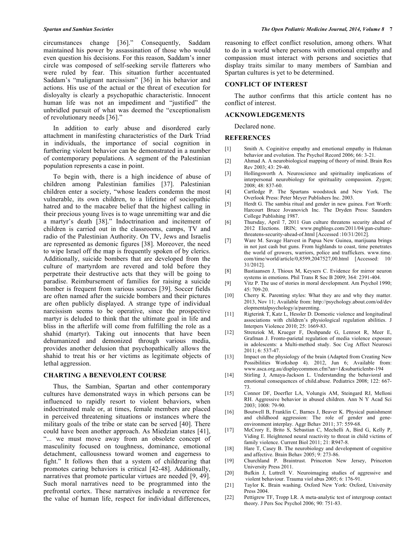circumstances change [36]." Consequently, Saddam maintained his power by assassination of those who would even question his decisions. For this reason, Saddam's inner circle was composed of self-seeking servile flatterers who were ruled by fear. This situation further accentuated Saddam's "malignant narcissism" [36] in his behavior and actions. His use of the actual or the threat of execution for disloyalty is clearly a psychopathic characteristic. Innocent human life was not an impediment and "justified" the unbridled pursuit of what was deemed the "exceptionalism of revolutionary needs [36]."

In addition to early abuse and disordered early attachment in manifesting characteristics of the Dark Triad in individuals, the importance of social cognition in furthering violent behavior can be demonstrated in a number of contemporary populations. A segment of the Palestinian population represents a case in point.

To begin with, there is a high incidence of abuse of children among Palestinian families [37]. Palestinian children enter a society, "whose leaders condemn the most vulnerable, its own children, to a lifetime of sociopathic hatred and to the macabre belief that the highest calling in their precious young lives is to wage unremitting war and die a martyr's death [38]." Indoctrination and incitement of children is carried out in the classrooms, camps, TV and radio of the Palestinian Authority. On TV, Jews and Israelis are represented as demonic figures [38]. Moreover, the need to wipe Israel off the map is frequently spoken of by clerics. Additionally, suicide bombers that are developed from the culture of martyrdom are revered and told before they perpetrate their destructive acts that they will be going to paradise. Reimbursement of families for raising a suicide bomber is frequent from various sources [39]. Soccer fields are often named after the suicide bombers and their pictures are often publicly displayed. A strange type of individual narcissism seems to be operative, since the prospective martyr is deluded to think that the ultimate goal in life and bliss in the afterlife will come from fulfilling the role as a shahid (martyr). Taking out innocents that have been dehumanized and demonized through various media, provides another delusion that psychopathically allows the shahid to treat his or her victims as legitimate objects of lethal aggression.

#### **CHARTING A BENEVOLENT COURSE**

Thus, the Sambian, Spartan and other contemporary cultures have demonstrated ways in which persons can be influenced to rapidly resort to violent behaviors, when indoctrinated male or, at times, female members are placed in perceived threatening situations or instances where the military goals of the tribe or state can be served [40]. There could have been another approach. As Miedzian states [41], "... we must move away from an obsolete concept of masculinity focused on toughness, dominance, emotional detachment, callousness toward women and eagerness to fight." It follows then that a system of childrearing that promotes caring behaviors is critical [42-48]. Additionally, narratives that promote particular virtues are needed [9, 49]. Such moral narratives need to be programmed into the prefrontal cortex. These narratives include a reverence for the value of human life, respect for individual differences,

reasoning to effect conflict resolution, among others. What to do in a world where persons with emotional empathy and compassion must interact with persons and societies that display traits similar to many members of Sambian and Spartan cultures is yet to be determined.

#### **CONFLICT OF INTEREST**

The author confirms that this article content has no conflict of interest.

#### **ACKNOWLEDGEMENTS**

Declared none.

#### **REFERENCES**

- [1] Smith A. Coginitive empathy and emotional empathy in Hukman behavior and evolution. The Psychol Record 2006; 66: 3-21.
- [2] Ahmad A. A neurobiological mapping of theory of mind. Brain Res  $Rev 2003: 43: 29-40.$
- [3] Hollingsworth A. Neuroscience and spirituality implications of interpersonal neurobiology for spirituality compassion. Zygon; 2008; 48: 837-60.
- [4] Cartledge P. The Spartans woodstock and New York. The Overlook Press: Peter Meyer Publishers Inc. 2003.
- [5] Herdt G. The sambia ritual and gender in new guinea. Fort Worth: Harcourt Bruce Jovanovich Inc. The Dryden Press: Saunders College Publishing 1987.
- [6] Thursday, April 7, 2011 Gun culture threatens security ahead of 2012 Elections. IRIN; www.pngblogs.com/2011/04/gun-culturethreatens-security-ahead-of.html [Accessed :10/31/2012].
- [7] Ware M. Savage Harvest in Papua New Guinea, marijuana brings in not just cash but guns. From highlands to coast, time penetrates the world of growers, warriors, police and traffickers. www.time. com/time/world/article/0,8599,2047527,00.html [Accessed: 10/ 31/2012].
- [8] Bastiaansen J, Thioux M, Keysers C. Evidence for mirror neuron systems in emotions. Phil Trans R Soc B 2009; 364: 2391-404.
- [9] Vitz P. The use of stories in moral development. Am Psychol 1990; 45: 709-20.
- [10] Cherry K. Parenting styles: What they are and why they matter. 2013, Nov 11; Available from: http://psychology.about.com/od/dev elopmentalpsychology/a/parenting.
- [11] Rigterink T, Katz L, Hessler D. Domestic violence and longitudinal associations with children's physiological regulation abilities. J Interpers Violence 2010; 25: 1669-83.
- [12] Strenziok M, Krueger F, Deshpande G, Lenroot R, Meer E, Grafman J. Fronto-parietal regulation of media violence exposure in adolescents: a Multi-method study. Soc Cog Affect Neurosci 2011; 6: 537-47.
- [13] Impact on the physiology of the brain (Adapted from Creating New Possibilities Workshop 4). 2012, Jun 6; Available from: www.asca.org.au/displaycommon.cfm?an=1&subarticlenbr-194
- [14] Stirling J, Amaya-Jackson L. Understanding the behavioral and emotional consequences of child.abuse. Pediatrics 2008; 122: 667- 73.
- [15] Connor DF, Doerfler LA, Volungis AM, Steingard RJ, Melloni RH. Aggressive behavior in abused children. Ann N Y Acad Sci 2003; 1008: 79-90.
- [16] Boutwell B, Franklin C, Barnes J, Beaver K. Physical punishment and childhood aggression: The role of gender and geneenvironment interplay. Aggr Behav 2011; 37: 559-68.
- [17] McCrory E, Brito S, Sebastian C, Mechelli A, Bird G, Kelly P, Viding E. Heightened neural reactivity to threat in child victims of family violence. Current Biol 2011; 21: R947-8.
- [18] Hare T, Casey B. The neurobiology and development of cognitive and affective. Brain Behav 2005; 9: 273-86.
- [19] Churchland P. Braintrust. Princeton New Jersey, Princeton University Press 2011.
- [20] Bufkin J, Luttrell V. Neuroimaging studies of aggressive and violent behaviour. Trauma viol abus 2005; 6: 176-91.
- [21] Taylor K. Brain washing. Oxford New York: Oxford, University Press 2004.
- [22] Pettigrew TF, Tropp LR. A meta-analytic test of intergroup contact theory. J Pers Soc Psychol 2006; 90: 751-83.